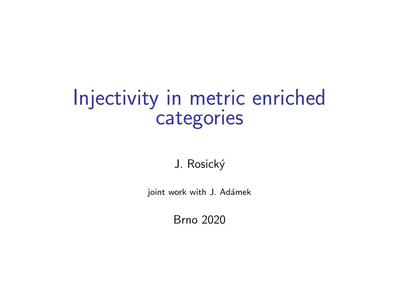## Injectivity in metric enriched categories

J. Rosický

joint work with J. Adámek

Brno 2020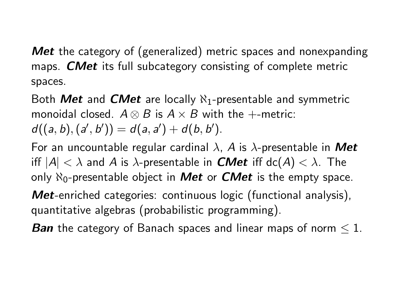Met the category of (generalized) metric spaces and nonexpanding maps. **CMet** its full subcategory consisting of complete metric spaces.

Both **Met** and **CMet** are locally  $\aleph_1$ -presentable and symmetric monoidal closed.  $A \otimes B$  is  $A \times B$  with the +-metric:  $d((a, b), (a', b')) = d(a, a') + d(b, b').$ 

For an uncountable regular cardinal  $\lambda$ , A is  $\lambda$ -presentable in Met iff  $|A| < \lambda$  and A is  $\lambda$ -presentable in **CMet** iff dc(A)  $< \lambda$ . The only  $\aleph_0$ -presentable object in **Met** or **CMet** is the empty space.

Met-enriched categories: continuous logic (functional analysis), quantitative algebras (probabilistic programming).

**Ban** the category of Banach spaces and linear maps of norm  $\leq 1$ .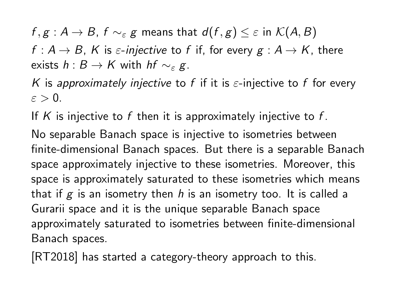$f, g : A \to B$ ,  $f \sim_{\varepsilon} g$  means that  $d(f, g) \leq \varepsilon$  in  $\mathcal{K}(A, B)$ 

 $f: A \to B$ , K is  $\varepsilon$ -injective to f if, for every  $g: A \to K$ , there exists  $h : B \to K$  with  $hf \sim_{\varepsilon} g$ .

K is approximately injective to f if it is  $\varepsilon$ -injective to f for every  $\varepsilon > 0$ .

If K is injective to f then it is approximately injective to f.

No separable Banach space is injective to isometries between finite-dimensional Banach spaces. But there is a separable Banach space approximately injective to these isometries. Moreover, this space is approximately saturated to these isometries which means that if  $g$  is an isometry then h is an isometry too. It is called a Gurarii space and it is the unique separable Banach space approximately saturated to isometries between finite-dimensional Banach spaces.

[RT2018] has started a category-theory approach to this.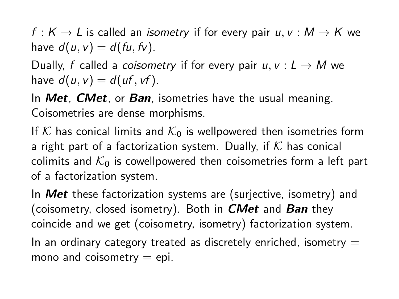f :  $K \to L$  is called an *isometry* if for every pair  $u, v : M \to K$  we have  $d(u, v) = d(fu, fv)$ .

Dually, f called a *coisometry* if for every pair  $u, v: L \rightarrow M$  we have  $d(u, v) = d(uf, vf)$ .

In  $Met$ ,  $CMet$ , or  $Ban$ , isometries have the usual meaning. Coisometries are dense morphisms.

If K has conical limits and  $K_0$  is wellpowered then isometries form a right part of a factorization system. Dually, if  $K$  has conical colimits and  $K_0$  is cowellpowered then coisometries form a left part of a factorization system.

In **Met** these factorization systems are (surjective, isometry) and (coisometry, closed isometry). Both in  $CMet$  and  $Ban$  they coincide and we get (coisometry, isometry) factorization system. In an ordinary category treated as discretely enriched, isometry  $=$ mono and coisometry  $=$  epi.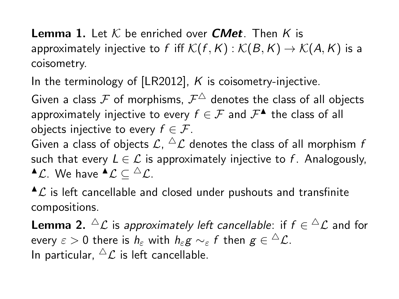**Lemma 1.** Let K be enriched over **CMet**. Then K is approximately injective to f iff  $\mathcal{K}(f, K) : \mathcal{K}(B, K) \to \mathcal{K}(A, K)$  is a coisometry.

In the terminology of  $[LR2012]$ , K is coisometry-injective.

Given a class  ${\mathcal F}$  of morphisms,  ${\mathcal F}^\triangle$  denotes the class of all objects approximately injective to every  $f \in \mathcal{F}$  and  $\mathcal{F}^{\blacktriangle}$  the class of all objects injective to every  $f \in \mathcal{F}$ . Given a class of objects  $\mathcal{L},\,{}^\Delta\mathcal{L}$  denotes the class of all morphism  $t$ such that every  $L \in \mathcal{L}$  is approximately injective to f. Analogously,

 $^{\blacktriangle}$ C. We have  $^{\blacktriangle}$ C  $\subseteq$   $^{\triangle}$ C.

 $^{\blacktriangle}$ C is left cancellable and closed under pushouts and transfinite compositions.

**Lemma 2.**  ${}^{\triangle} \mathcal{L}$  is *approximately left cancellable*: if  $f \in {}^{\triangle} \mathcal{L}$  and for every  $\varepsilon>0$  there is  $h_\varepsilon$  with  $h_\varepsilon g\sim_\varepsilon f$  then  $g\in{}^\triangle\mathcal{L}.$ In particular,  $\Delta \mathcal{L}$  is left cancellable.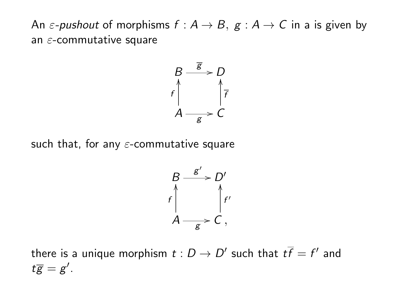An  $\varepsilon$ -pushout of morphisms  $f : A \to B$ ,  $g : A \to C$  in a is given by an  $\varepsilon$ -commutative square



such that, for any  $\varepsilon$ -commutative square



there is a unique morphism  $t:D\to D'$  such that  $t\overline{f}=f'$  and  $t\overline{g} = g'.$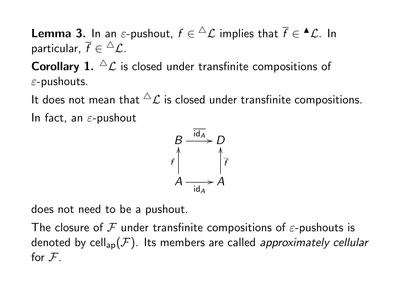**Lemma 3.** In an  $\varepsilon$ -pushout,  $f \in {^{\triangle} \mathcal{L}}$  implies that  $\overline{f} \in {^{\blacktriangle} \mathcal{L}}.$  In particular,  $\overline{f}\in{}^{\triangle}\mathcal{L}.$ 

**Corollary 1.**  ${}^{\Delta}$  C is closed under transfinite compositions of  $\varepsilon$ -pushouts.

It does not mean that  ${}^{\triangle}$  L is closed under transfinite compositions. In fact, an  $\varepsilon$ -pushout

$$
\begin{array}{ccc}\n & \frac{\overline{\text{id}_A}}{f} & D \\
& \uparrow & \uparrow \\
& A & \frac{\overline{\text{id}_A}}{f} \\
& \frac{\overline{\text{id}_A}}{f} & A\n\end{array}
$$

does not need to be a pushout.

The closure of F under transfinite compositions of  $\varepsilon$ -pushouts is denoted by cell<sub>ap</sub> $(\mathcal{F})$ . Its members are called approximately cellular for  $F<sub>1</sub>$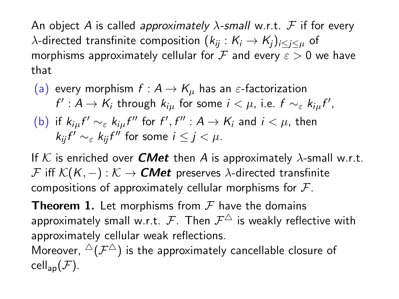An object A is called approximately  $\lambda$ -small w.r.t. F if for every  $\lambda$ -directed transfinite composition  $(k_{ii}: K_i \rightarrow K_i)_{i \leq i \leq \mu}$  of morphisms approximately cellular for  $\mathcal F$  and every  $\varepsilon > 0$  we have that

\n- (a) every morphism 
$$
f: A \to K_{\mu}
$$
 has an  $\varepsilon$ -factorization  $f': A \to K_i$  through  $k_{i\mu}$  for some  $i < \mu$ , i.e.  $f \sim_{\varepsilon} k_{i\mu} f'$ ,
\n- (b) if  $k_{i\mu} f' \sim_{\varepsilon} k_{i\mu} f''$  for  $f', f'' : A \to K_i$  and  $i < \mu$ , then  $k_{ij} f' \sim_{\varepsilon} k_{ij} f''$  for some  $i \leq j < \mu$ .
\n

If K is enriched over **CMet** then A is approximately  $\lambda$ -small w.r.t. F iff  $\mathcal{K}(K, -): \mathcal{K} \to \mathbf{CMet}$  preserves  $\lambda$ -directed transfinite compositions of approximately cellular morphisms for  $\mathcal{F}$ .

**Theorem 1.** Let morphisms from  $\mathcal F$  have the domains approximately small w.r.t.  $\mathcal{F}.$  Then  $\mathcal{F}^{\triangle}$  is weakly reflective with approximately cellular weak reflections.

Moreover,  ${}^{\Delta}(\mathcal{F}^{\triangle})$  is the approximately cancellable closure of cell<sub>ap</sub> $(\mathcal{F})$ .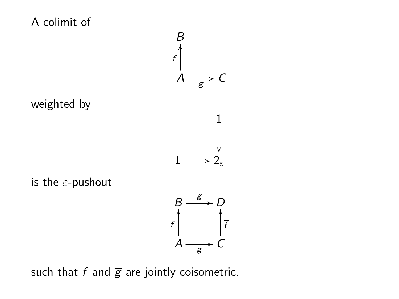

g

such that  $\overline{f}$  and  $\overline{g}$  are jointly coisometric.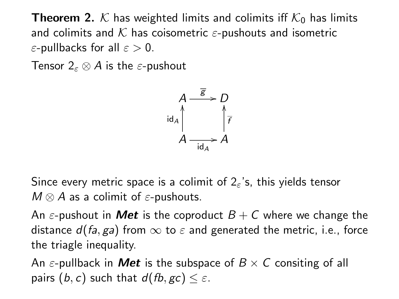**Theorem 2.** K has weighted limits and colimits iff  $K_0$  has limits and colimits and  $K$  has coisometric  $\varepsilon$ -pushouts and isometric  $\varepsilon$ -pullbacks for all  $\varepsilon > 0$ .

Tensor  $2\varepsilon \otimes A$  is the  $\varepsilon$ -pushout



Since every metric space is a colimit of  $2\varepsilon$ 's, this yields tensor  $M \otimes A$  as a colimit of  $\varepsilon$ -pushouts.

An  $\varepsilon$ -pushout in **Met** is the coproduct  $B + C$  where we change the distance  $d(fa, ga)$  from  $\infty$  to  $\varepsilon$  and generated the metric, i.e., force the triagle inequality.

An  $\varepsilon$ -pullback in **Met** is the subspace of  $B \times C$  consiting of all pairs (b, c) such that  $d(fb, gc) \leq \varepsilon$ .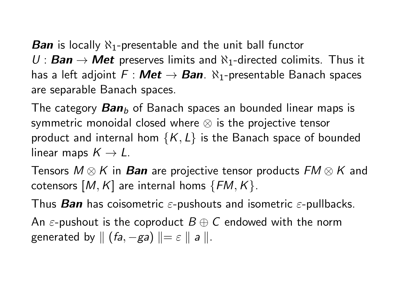**Ban** is locally  $\aleph_1$ -presentable and the unit ball functor  $U:$  **Ban**  $\rightarrow$  **Met** preserves limits and  $\aleph_1$ -directed colimits. Thus it has a left adjoint  $F : Met \rightarrow Ban$ .  $\aleph_1$ -presentable Banach spaces are separable Banach spaces.

The category  $Ban<sub>b</sub>$  of Banach spaces an bounded linear maps is symmetric monoidal closed where ⊗ is the projective tensor product and internal hom  $\{K, L\}$  is the Banach space of bounded linear maps  $K \to L$ .

Tensors  $M \otimes K$  in Ban are projective tensor products  $FM \otimes K$  and cotensors  $[M, K]$  are internal homs  $\{FM, K\}$ .

Thus **Ban** has coisometric  $\varepsilon$ -pushouts and isometric  $\varepsilon$ -pullbacks.

An  $\varepsilon$ -pushout is the coproduct  $B \oplus C$  endowed with the norm generated by  $|| (fa, -ga) || = \varepsilon || a ||.$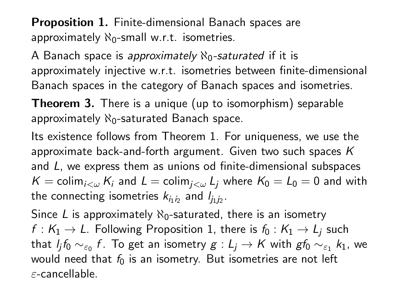**Proposition 1.** Finite-dimensional Banach spaces are approximately  $\aleph_0$ -small w.r.t. isometries.

A Banach space is approximately  $\aleph_0$ -saturated if it is approximately injective w.r.t. isometries between finite-dimensional Banach spaces in the category of Banach spaces and isometries.

Theorem 3. There is a unique (up to isomorphism) separable approximately  $\aleph_0$ -saturated Banach space.

Its existence follows from Theorem 1. For uniqueness, we use the approximate back-and-forth argument. Given two such spaces  $K$ and L, we express them as unions od finite-dimensional subspaces  $K = \operatorname{colim}_{i<\omega} K_i$  and  $L = \operatorname{colim}_{i<\omega} L_i$  where  $K_0 = L_0 = 0$  and with the connecting isometries  $k_{i_1 i_2}$  and  $l_{j_1 j_2}.$ 

Since L is approximately  $\aleph_0$ -saturated, there is an isometry  $f: K_1 \to L$ . Following Proposition 1, there is  $f_0: K_1 \to L_i$  such that  $l_jf_0\sim_{\varepsilon_0} f$ . To get an isometry  $g:L_j\to K$  with  $g f_0\sim_{\varepsilon_1} k_1$ , we would need that  $f_0$  is an isometry. But isometries are not left ε-cancellable.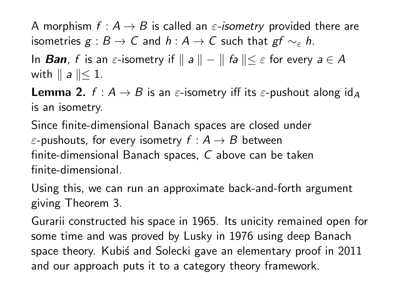A morphism  $f : A \rightarrow B$  is called an  $\varepsilon$ -isometry provided there are isometries  $g : B \to C$  and  $h : A \to C$  such that  $gf \sim_{\varepsilon} h$ .

In **Ban**, f is an  $\varepsilon$ -isometry if  $\|a\| - \|f_a\| \leq \varepsilon$  for every  $a \in A$ with  $\parallel a \parallel \leq 1$ .

**Lemma 2.**  $f : A \rightarrow B$  is an  $\varepsilon$ -isometry iff its  $\varepsilon$ -pushout along id<sub>A</sub> is an isometry.

Since finite-dimensional Banach spaces are closed under  $\varepsilon$ -pushouts, for every isometry  $f : A \rightarrow B$  between finite-dimensional Banach spaces, C above can be taken finite-dimensional.

Using this, we can run an approximate back-and-forth argument giving Theorem 3.

Gurarii constructed his space in 1965. Its unicity remained open for some time and was proved by Lusky in 1976 using deep Banach space theory. Kubiś and Solecki gave an elementary proof in 2011 and our approach puts it to a category theory framework.